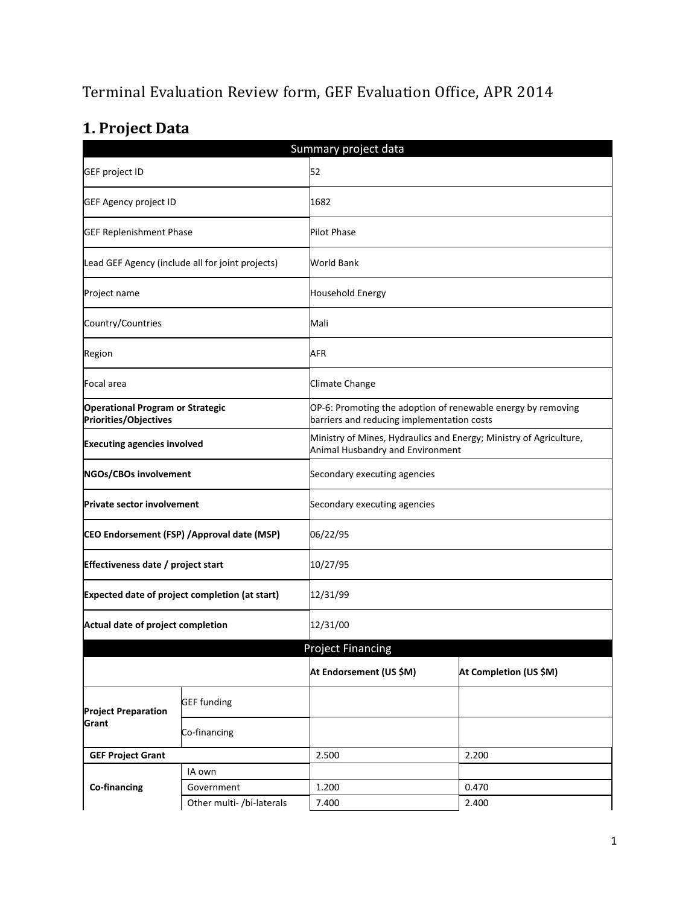# Terminal Evaluation Review form, GEF Evaluation Office, APR 2014

# **1. Project Data**

| Summary project data                                                    |                                                  |                                                                                                        |                                                                                                            |  |  |
|-------------------------------------------------------------------------|--------------------------------------------------|--------------------------------------------------------------------------------------------------------|------------------------------------------------------------------------------------------------------------|--|--|
| GEF project ID                                                          |                                                  | 52                                                                                                     |                                                                                                            |  |  |
| GEF Agency project ID                                                   |                                                  | 1682                                                                                                   |                                                                                                            |  |  |
| <b>GEF Replenishment Phase</b>                                          |                                                  | <b>Pilot Phase</b>                                                                                     |                                                                                                            |  |  |
|                                                                         | Lead GEF Agency (include all for joint projects) | World Bank                                                                                             |                                                                                                            |  |  |
| Project name                                                            |                                                  | <b>Household Energy</b>                                                                                |                                                                                                            |  |  |
| Country/Countries                                                       |                                                  | Mali                                                                                                   |                                                                                                            |  |  |
| Region                                                                  |                                                  | AFR                                                                                                    |                                                                                                            |  |  |
| Focal area                                                              |                                                  | Climate Change                                                                                         |                                                                                                            |  |  |
| <b>Operational Program or Strategic</b><br><b>Priorities/Objectives</b> |                                                  |                                                                                                        | OP-6: Promoting the adoption of renewable energy by removing<br>barriers and reducing implementation costs |  |  |
| <b>Executing agencies involved</b>                                      |                                                  | Ministry of Mines, Hydraulics and Energy; Ministry of Agriculture,<br>Animal Husbandry and Environment |                                                                                                            |  |  |
| NGOs/CBOs involvement                                                   |                                                  | Secondary executing agencies                                                                           |                                                                                                            |  |  |
| <b>Private sector involvement</b>                                       |                                                  | Secondary executing agencies                                                                           |                                                                                                            |  |  |
| CEO Endorsement (FSP) / Approval date (MSP)                             |                                                  | 06/22/95                                                                                               |                                                                                                            |  |  |
| Effectiveness date / project start                                      |                                                  | 10/27/95                                                                                               |                                                                                                            |  |  |
| Expected date of project completion (at start)                          |                                                  | 12/31/99                                                                                               |                                                                                                            |  |  |
| Actual date of project completion                                       |                                                  | 12/31/00                                                                                               |                                                                                                            |  |  |
|                                                                         |                                                  | <b>Project Financing</b>                                                                               |                                                                                                            |  |  |
|                                                                         |                                                  | At Endorsement (US \$M)                                                                                | At Completion (US \$M)                                                                                     |  |  |
| <b>Project Preparation</b><br>Grant                                     | <b>GEF</b> funding                               |                                                                                                        |                                                                                                            |  |  |
|                                                                         | Co-financing                                     |                                                                                                        |                                                                                                            |  |  |
| <b>GEF Project Grant</b>                                                |                                                  | 2.500                                                                                                  | 2.200                                                                                                      |  |  |
|                                                                         | IA own                                           |                                                                                                        |                                                                                                            |  |  |
| Co-financing                                                            | Government                                       | 1.200                                                                                                  | 0.470                                                                                                      |  |  |
|                                                                         | Other multi- /bi-laterals                        | 7.400                                                                                                  | 2.400                                                                                                      |  |  |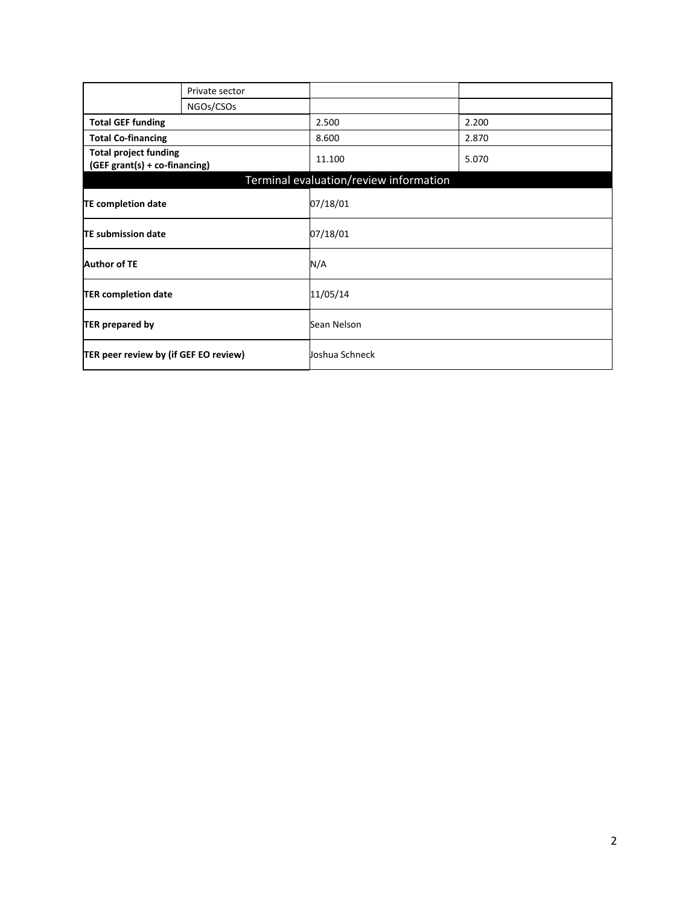|                                                               | Private sector |                                        |       |
|---------------------------------------------------------------|----------------|----------------------------------------|-------|
|                                                               | NGOs/CSOs      |                                        |       |
| <b>Total GEF funding</b>                                      |                | 2.500                                  | 2.200 |
| <b>Total Co-financing</b>                                     |                | 8.600                                  | 2.870 |
| <b>Total project funding</b><br>(GEF grant(s) + co-financing) |                | 11.100                                 | 5.070 |
|                                                               |                | Terminal evaluation/review information |       |
| <b>TE completion date</b>                                     |                | 07/18/01                               |       |
| <b>TE submission date</b>                                     |                | 07/18/01                               |       |
| <b>Author of TE</b>                                           |                | N/A                                    |       |
| <b>TER completion date</b>                                    | 11/05/14       |                                        |       |
| <b>TER prepared by</b>                                        |                | Sean Nelson                            |       |
| TER peer review by (if GEF EO review)                         |                | Joshua Schneck                         |       |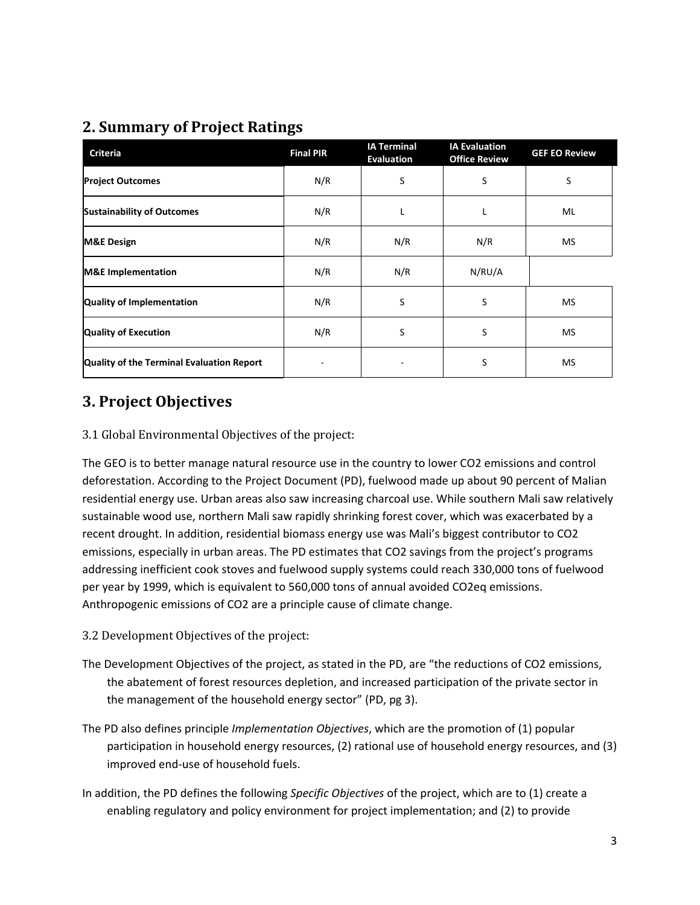# **2. Summary of Project Ratings**

| <b>Criteria</b>                           | <b>Final PIR</b> | <b>IA Terminal</b><br><b>Evaluation</b> | <b>IA Evaluation</b><br><b>Office Review</b> | <b>GEF EO Review</b> |
|-------------------------------------------|------------------|-----------------------------------------|----------------------------------------------|----------------------|
| <b>Project Outcomes</b>                   | N/R              | S                                       | S                                            | S                    |
| <b>Sustainability of Outcomes</b>         | N/R              |                                         | L                                            | ML                   |
| <b>M&amp;E Design</b>                     | N/R              | N/R                                     | N/R                                          | MS                   |
| <b>M&amp;E</b> Implementation             | N/R              | N/R                                     | N/RU/A                                       |                      |
| Quality of Implementation                 | N/R              | S                                       | S                                            | <b>MS</b>            |
| <b>Quality of Execution</b>               | N/R              | S                                       | S                                            | <b>MS</b>            |
| Quality of the Terminal Evaluation Report |                  |                                         | S                                            | MS                   |

# **3. Project Objectives**

### 3.1 Global Environmental Objectives of the project:

The GEO is to better manage natural resource use in the country to lower CO2 emissions and control deforestation. According to the Project Document (PD), fuelwood made up about 90 percent of Malian residential energy use. Urban areas also saw increasing charcoal use. While southern Mali saw relatively sustainable wood use, northern Mali saw rapidly shrinking forest cover, which was exacerbated by a recent drought. In addition, residential biomass energy use was Mali's biggest contributor to CO2 emissions, especially in urban areas. The PD estimates that CO2 savings from the project's programs addressing inefficient cook stoves and fuelwood supply systems could reach 330,000 tons of fuelwood per year by 1999, which is equivalent to 560,000 tons of annual avoided CO2eq emissions. Anthropogenic emissions of CO2 are a principle cause of climate change.

- 3.2 Development Objectives of the project:
- The Development Objectives of the project, as stated in the PD, are "the reductions of CO2 emissions, the abatement of forest resources depletion, and increased participation of the private sector in the management of the household energy sector" (PD, pg 3).
- The PD also defines principle *Implementation Objectives*, which are the promotion of (1) popular participation in household energy resources, (2) rational use of household energy resources, and (3) improved end-use of household fuels.
- In addition, the PD defines the following *Specific Objectives* of the project, which are to (1) create a enabling regulatory and policy environment for project implementation; and (2) to provide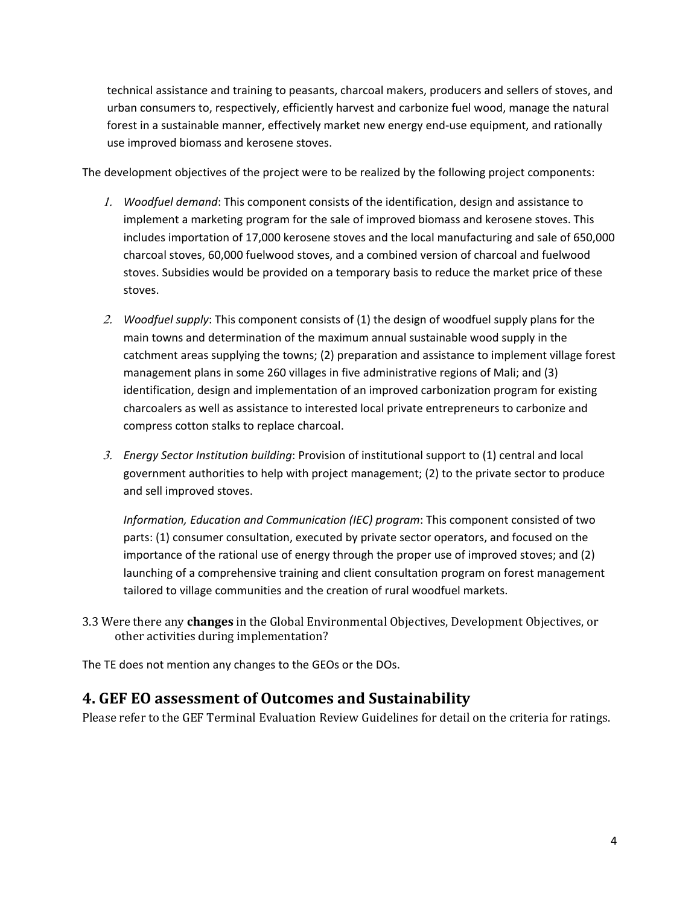technical assistance and training to peasants, charcoal makers, producers and sellers of stoves, and urban consumers to, respectively, efficiently harvest and carbonize fuel wood, manage the natural forest in a sustainable manner, effectively market new energy end-use equipment, and rationally use improved biomass and kerosene stoves.

The development objectives of the project were to be realized by the following project components:

- 1. *Woodfuel demand*: This component consists of the identification, design and assistance to implement a marketing program for the sale of improved biomass and kerosene stoves. This includes importation of 17,000 kerosene stoves and the local manufacturing and sale of 650,000 charcoal stoves, 60,000 fuelwood stoves, and a combined version of charcoal and fuelwood stoves. Subsidies would be provided on a temporary basis to reduce the market price of these stoves.
- 2. *Woodfuel supply*: This component consists of (1) the design of woodfuel supply plans for the main towns and determination of the maximum annual sustainable wood supply in the catchment areas supplying the towns; (2) preparation and assistance to implement village forest management plans in some 260 villages in five administrative regions of Mali; and (3) identification, design and implementation of an improved carbonization program for existing charcoalers as well as assistance to interested local private entrepreneurs to carbonize and compress cotton stalks to replace charcoal.
- 3. *Energy Sector Institution building*: Provision of institutional support to (1) central and local government authorities to help with project management; (2) to the private sector to produce and sell improved stoves.

*Information, Education and Communication (IEC) program*: This component consisted of two parts: (1) consumer consultation, executed by private sector operators, and focused on the importance of the rational use of energy through the proper use of improved stoves; and (2) launching of a comprehensive training and client consultation program on forest management tailored to village communities and the creation of rural woodfuel markets.

3.3 Were there any **changes** in the Global Environmental Objectives, Development Objectives, or other activities during implementation?

The TE does not mention any changes to the GEOs or the DOs.

### **4. GEF EO assessment of Outcomes and Sustainability**

Please refer to the GEF Terminal Evaluation Review Guidelines for detail on the criteria for ratings.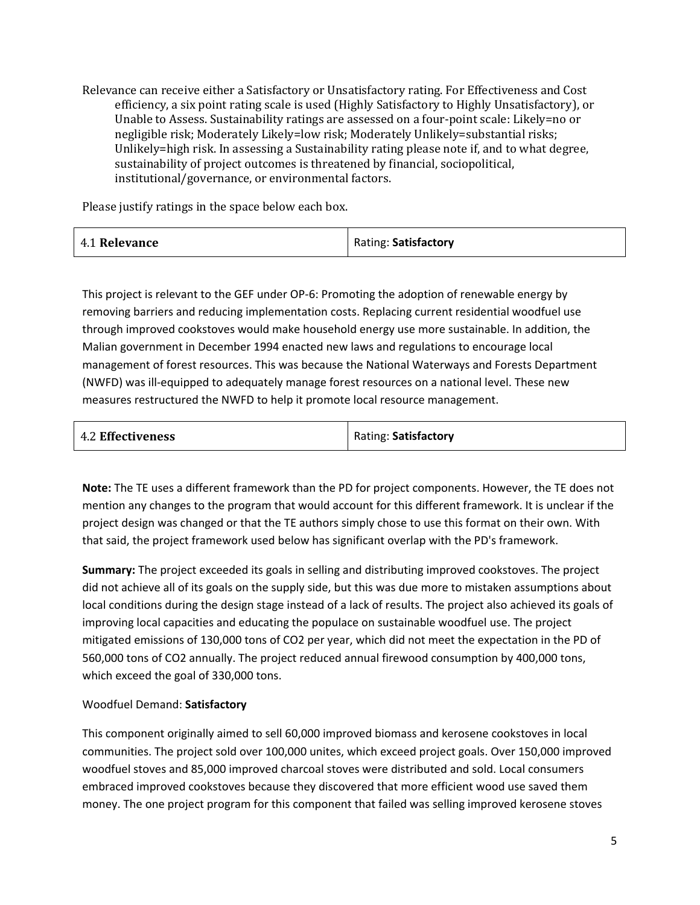Relevance can receive either a Satisfactory or Unsatisfactory rating. For Effectiveness and Cost efficiency, a six point rating scale is used (Highly Satisfactory to Highly Unsatisfactory), or Unable to Assess. Sustainability ratings are assessed on a four-point scale: Likely=no or negligible risk; Moderately Likely=low risk; Moderately Unlikely=substantial risks; Unlikely=high risk. In assessing a Sustainability rating please note if, and to what degree, sustainability of project outcomes is threatened by financial, sociopolitical, institutional/governance, or environmental factors.

Please justify ratings in the space below each box.

| 4.1 Relevance | Rating: Satisfactory |
|---------------|----------------------|
|               |                      |

This project is relevant to the GEF under OP-6: Promoting the adoption of renewable energy by removing barriers and reducing implementation costs. Replacing current residential woodfuel use through improved cookstoves would make household energy use more sustainable. In addition, the Malian government in December 1994 enacted new laws and regulations to encourage local management of forest resources. This was because the National Waterways and Forests Department (NWFD) was ill-equipped to adequately manage forest resources on a national level. These new measures restructured the NWFD to help it promote local resource management.

| <b>4.2 Effectiveness</b> | Rating: Satisfactory |  |
|--------------------------|----------------------|--|
|                          |                      |  |

**Note:** The TE uses a different framework than the PD for project components. However, the TE does not mention any changes to the program that would account for this different framework. It is unclear if the project design was changed or that the TE authors simply chose to use this format on their own. With that said, the project framework used below has significant overlap with the PD's framework.

**Summary:** The project exceeded its goals in selling and distributing improved cookstoves. The project did not achieve all of its goals on the supply side, but this was due more to mistaken assumptions about local conditions during the design stage instead of a lack of results. The project also achieved its goals of improving local capacities and educating the populace on sustainable woodfuel use. The project mitigated emissions of 130,000 tons of CO2 per year, which did not meet the expectation in the PD of 560,000 tons of CO2 annually. The project reduced annual firewood consumption by 400,000 tons, which exceed the goal of 330,000 tons.

### Woodfuel Demand: **Satisfactory**

This component originally aimed to sell 60,000 improved biomass and kerosene cookstoves in local communities. The project sold over 100,000 unites, which exceed project goals. Over 150,000 improved woodfuel stoves and 85,000 improved charcoal stoves were distributed and sold. Local consumers embraced improved cookstoves because they discovered that more efficient wood use saved them money. The one project program for this component that failed was selling improved kerosene stoves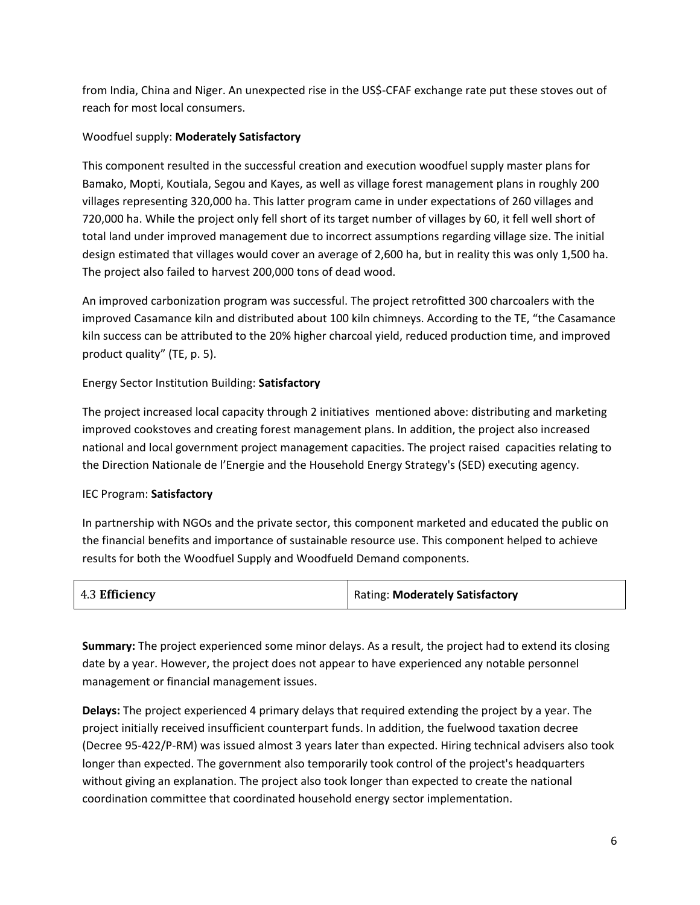from India, China and Niger. An unexpected rise in the US\$-CFAF exchange rate put these stoves out of reach for most local consumers.

### Woodfuel supply: **Moderately Satisfactory**

This component resulted in the successful creation and execution woodfuel supply master plans for Bamako, Mopti, Koutiala, Segou and Kayes, as well as village forest management plans in roughly 200 villages representing 320,000 ha. This latter program came in under expectations of 260 villages and 720,000 ha. While the project only fell short of its target number of villages by 60, it fell well short of total land under improved management due to incorrect assumptions regarding village size. The initial design estimated that villages would cover an average of 2,600 ha, but in reality this was only 1,500 ha. The project also failed to harvest 200,000 tons of dead wood.

An improved carbonization program was successful. The project retrofitted 300 charcoalers with the improved Casamance kiln and distributed about 100 kiln chimneys. According to the TE, "the Casamance kiln success can be attributed to the 20% higher charcoal yield, reduced production time, and improved product quality" (TE, p. 5).

### Energy Sector Institution Building: **Satisfactory**

The project increased local capacity through 2 initiatives mentioned above: distributing and marketing improved cookstoves and creating forest management plans. In addition, the project also increased national and local government project management capacities. The project raised capacities relating to the Direction Nationale de l'Energie and the Household Energy Strategy's (SED) executing agency.

### IEC Program: **Satisfactory**

In partnership with NGOs and the private sector, this component marketed and educated the public on the financial benefits and importance of sustainable resource use. This component helped to achieve results for both the Woodfuel Supply and Woodfueld Demand components.

| 4.3 Efficiency | Rating: Moderately Satisfactory |
|----------------|---------------------------------|
|----------------|---------------------------------|

**Summary:** The project experienced some minor delays. As a result, the project had to extend its closing date by a year. However, the project does not appear to have experienced any notable personnel management or financial management issues.

**Delays:** The project experienced 4 primary delays that required extending the project by a year. The project initially received insufficient counterpart funds. In addition, the fuelwood taxation decree (Decree 95-422/P-RM) was issued almost 3 years later than expected. Hiring technical advisers also took longer than expected. The government also temporarily took control of the project's headquarters without giving an explanation. The project also took longer than expected to create the national coordination committee that coordinated household energy sector implementation.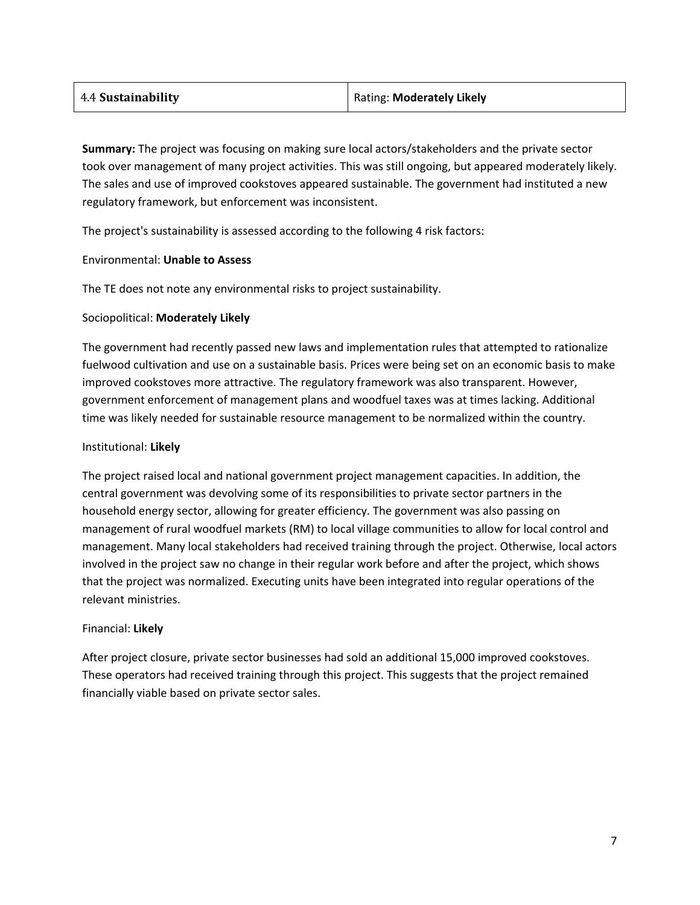| Rating: Moderately Likely |
|---------------------------|
|                           |

**Summary:** The project was focusing on making sure local actors/stakeholders and the private sector took over management of many project activities. This was still ongoing, but appeared moderately likely. The sales and use of improved cookstoves appeared sustainable. The government had instituted a new regulatory framework, but enforcement was inconsistent.

The project's sustainability is assessed according to the following 4 risk factors:

#### Environmental: **Unable to Assess**

The TE does not note any environmental risks to project sustainability.

#### Sociopolitical: **Moderately Likely**

The government had recently passed new laws and implementation rules that attempted to rationalize fuelwood cultivation and use on a sustainable basis. Prices were being set on an economic basis to make improved cookstoves more attractive. The regulatory framework was also transparent. However, government enforcement of management plans and woodfuel taxes was at times lacking. Additional time was likely needed for sustainable resource management to be normalized within the country.

#### Institutional: **Likely**

The project raised local and national government project management capacities. In addition, the central government was devolving some of its responsibilities to private sector partners in the household energy sector, allowing for greater efficiency. The government was also passing on management of rural woodfuel markets (RM) to local village communities to allow for local control and management. Many local stakeholders had received training through the project. Otherwise, local actors involved in the project saw no change in their regular work before and after the project, which shows that the project was normalized. Executing units have been integrated into regular operations of the relevant ministries.

#### Financial: **Likely**

After project closure, private sector businesses had sold an additional 15,000 improved cookstoves. These operators had received training through this project. This suggests that the project remained financially viable based on private sector sales.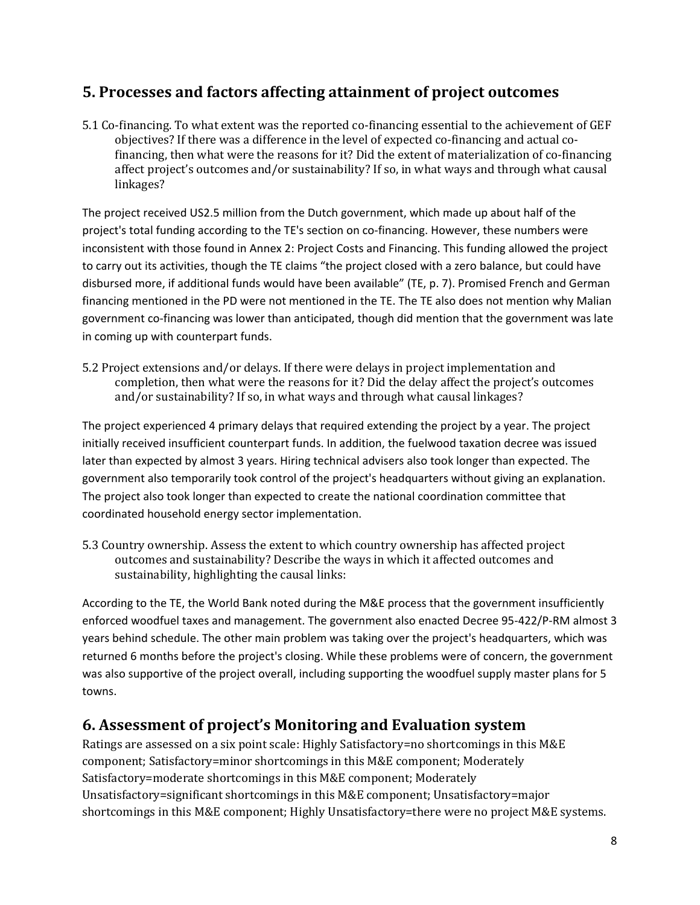## **5. Processes and factors affecting attainment of project outcomes**

5.1 Co-financing. To what extent was the reported co-financing essential to the achievement of GEF objectives? If there was a difference in the level of expected co-financing and actual cofinancing, then what were the reasons for it? Did the extent of materialization of co-financing affect project's outcomes and/or sustainability? If so, in what ways and through what causal linkages?

The project received US2.5 million from the Dutch government, which made up about half of the project's total funding according to the TE's section on co-financing. However, these numbers were inconsistent with those found in Annex 2: Project Costs and Financing. This funding allowed the project to carry out its activities, though the TE claims "the project closed with a zero balance, but could have disbursed more, if additional funds would have been available" (TE, p. 7). Promised French and German financing mentioned in the PD were not mentioned in the TE. The TE also does not mention why Malian government co-financing was lower than anticipated, though did mention that the government was late in coming up with counterpart funds.

5.2 Project extensions and/or delays. If there were delays in project implementation and completion, then what were the reasons for it? Did the delay affect the project's outcomes and/or sustainability? If so, in what ways and through what causal linkages?

The project experienced 4 primary delays that required extending the project by a year. The project initially received insufficient counterpart funds. In addition, the fuelwood taxation decree was issued later than expected by almost 3 years. Hiring technical advisers also took longer than expected. The government also temporarily took control of the project's headquarters without giving an explanation. The project also took longer than expected to create the national coordination committee that coordinated household energy sector implementation.

5.3 Country ownership. Assess the extent to which country ownership has affected project outcomes and sustainability? Describe the ways in which it affected outcomes and sustainability, highlighting the causal links:

According to the TE, the World Bank noted during the M&E process that the government insufficiently enforced woodfuel taxes and management. The government also enacted Decree 95-422/P-RM almost 3 years behind schedule. The other main problem was taking over the project's headquarters, which was returned 6 months before the project's closing. While these problems were of concern, the government was also supportive of the project overall, including supporting the woodfuel supply master plans for 5 towns.

# **6. Assessment of project's Monitoring and Evaluation system**

Ratings are assessed on a six point scale: Highly Satisfactory=no shortcomings in this M&E component; Satisfactory=minor shortcomings in this M&E component; Moderately Satisfactory=moderate shortcomings in this M&E component; Moderately Unsatisfactory=significant shortcomings in this M&E component; Unsatisfactory=major shortcomings in this M&E component; Highly Unsatisfactory=there were no project M&E systems.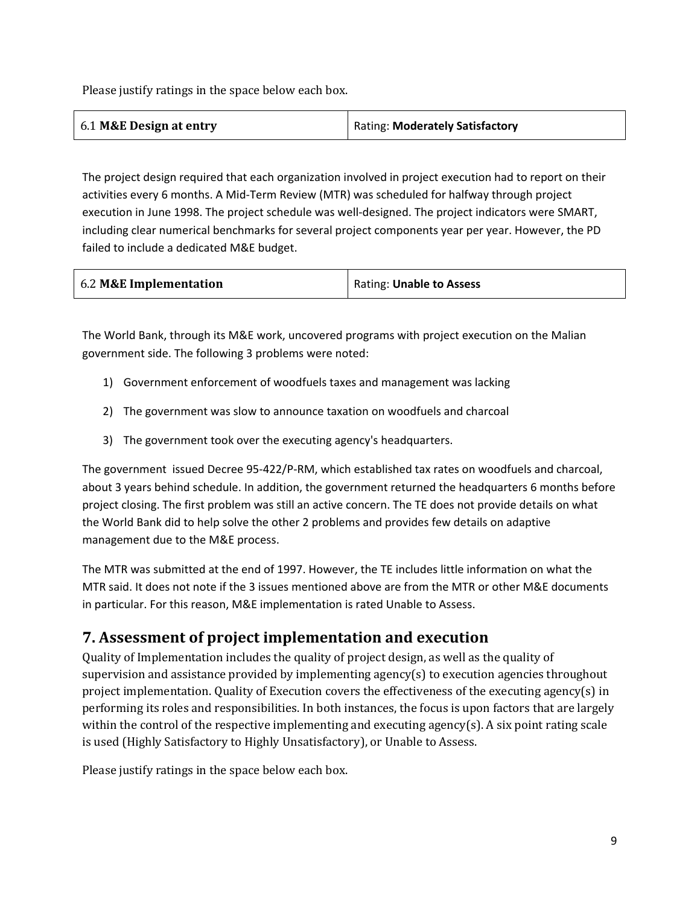Please justify ratings in the space below each box.

| 6.1 M&E Design at entry | Rating: Moderately Satisfactory |
|-------------------------|---------------------------------|
|                         |                                 |

The project design required that each organization involved in project execution had to report on their activities every 6 months. A Mid-Term Review (MTR) was scheduled for halfway through project execution in June 1998. The project schedule was well-designed. The project indicators were SMART, including clear numerical benchmarks for several project components year per year. However, the PD failed to include a dedicated M&E budget.

| 6.2 M&E Implementation | Rating: Unable to Assess |
|------------------------|--------------------------|
|------------------------|--------------------------|

The World Bank, through its M&E work, uncovered programs with project execution on the Malian government side. The following 3 problems were noted:

- 1) Government enforcement of woodfuels taxes and management was lacking
- 2) The government was slow to announce taxation on woodfuels and charcoal
- 3) The government took over the executing agency's headquarters.

The government issued Decree 95-422/P-RM, which established tax rates on woodfuels and charcoal, about 3 years behind schedule. In addition, the government returned the headquarters 6 months before project closing. The first problem was still an active concern. The TE does not provide details on what the World Bank did to help solve the other 2 problems and provides few details on adaptive management due to the M&E process.

The MTR was submitted at the end of 1997. However, the TE includes little information on what the MTR said. It does not note if the 3 issues mentioned above are from the MTR or other M&E documents in particular. For this reason, M&E implementation is rated Unable to Assess.

# **7. Assessment of project implementation and execution**

Quality of Implementation includes the quality of project design, as well as the quality of supervision and assistance provided by implementing agency(s) to execution agencies throughout project implementation. Quality of Execution covers the effectiveness of the executing agency(s) in performing its roles and responsibilities. In both instances, the focus is upon factors that are largely within the control of the respective implementing and executing agency(s). A six point rating scale is used (Highly Satisfactory to Highly Unsatisfactory), or Unable to Assess.

Please justify ratings in the space below each box.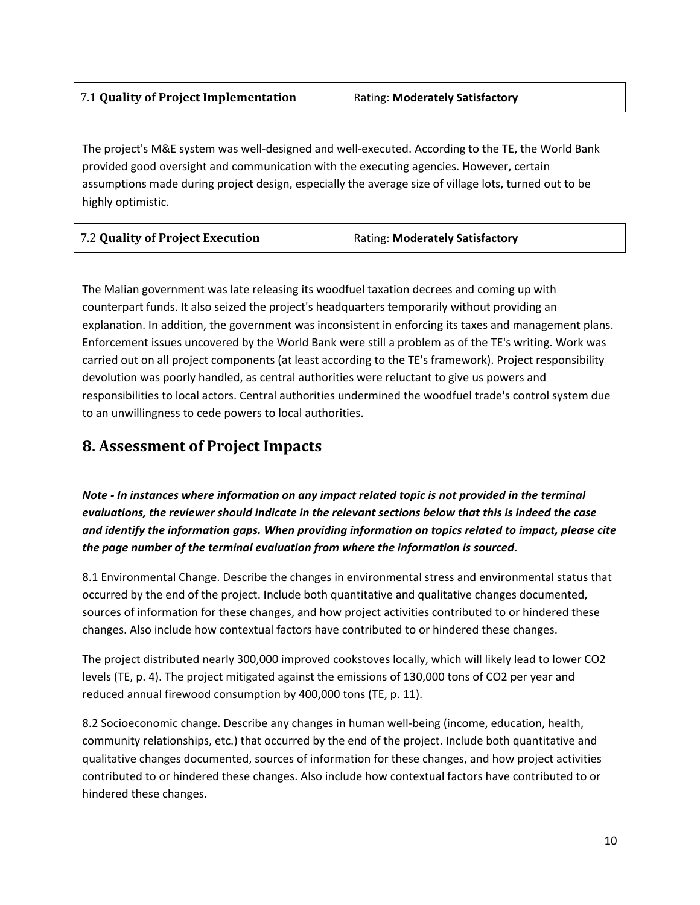| Rating: Moderately Satisfactory |
|---------------------------------|
|                                 |

The project's M&E system was well-designed and well-executed. According to the TE, the World Bank provided good oversight and communication with the executing agencies. However, certain assumptions made during project design, especially the average size of village lots, turned out to be highly optimistic.

| 7.2 Quality of Project Execution | Rating: Moderately Satisfactory |
|----------------------------------|---------------------------------|
|                                  |                                 |

The Malian government was late releasing its woodfuel taxation decrees and coming up with counterpart funds. It also seized the project's headquarters temporarily without providing an explanation. In addition, the government was inconsistent in enforcing its taxes and management plans. Enforcement issues uncovered by the World Bank were still a problem as of the TE's writing. Work was carried out on all project components (at least according to the TE's framework). Project responsibility devolution was poorly handled, as central authorities were reluctant to give us powers and responsibilities to local actors. Central authorities undermined the woodfuel trade's control system due to an unwillingness to cede powers to local authorities.

## **8. Assessment of Project Impacts**

*Note - In instances where information on any impact related topic is not provided in the terminal evaluations, the reviewer should indicate in the relevant sections below that this is indeed the case and identify the information gaps. When providing information on topics related to impact, please cite the page number of the terminal evaluation from where the information is sourced.*

8.1 Environmental Change. Describe the changes in environmental stress and environmental status that occurred by the end of the project. Include both quantitative and qualitative changes documented, sources of information for these changes, and how project activities contributed to or hindered these changes. Also include how contextual factors have contributed to or hindered these changes.

The project distributed nearly 300,000 improved cookstoves locally, which will likely lead to lower CO2 levels (TE, p. 4). The project mitigated against the emissions of 130,000 tons of CO2 per year and reduced annual firewood consumption by 400,000 tons (TE, p. 11).

8.2 Socioeconomic change. Describe any changes in human well-being (income, education, health, community relationships, etc.) that occurred by the end of the project. Include both quantitative and qualitative changes documented, sources of information for these changes, and how project activities contributed to or hindered these changes. Also include how contextual factors have contributed to or hindered these changes.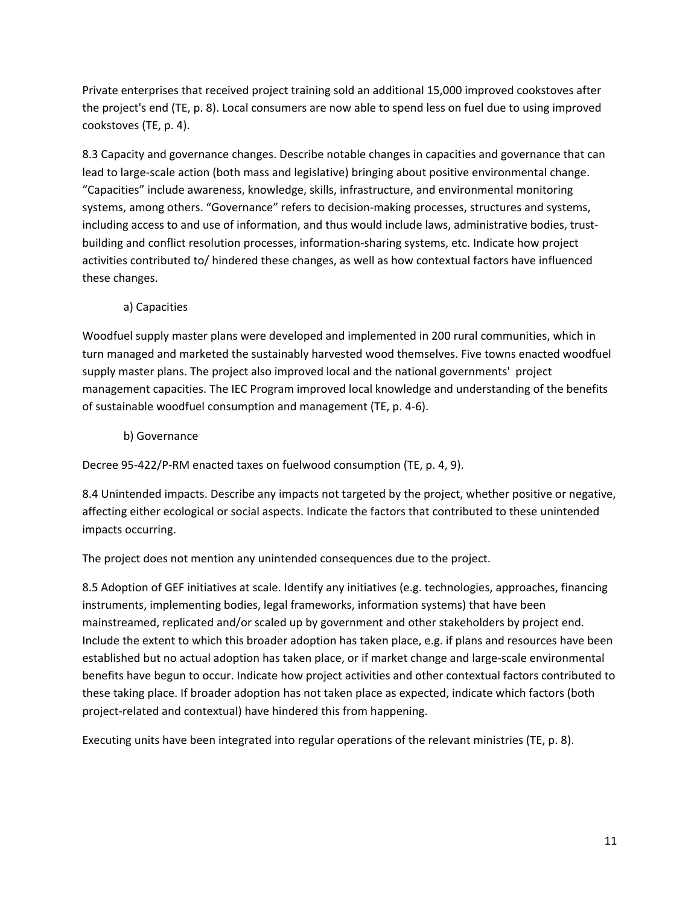Private enterprises that received project training sold an additional 15,000 improved cookstoves after the project's end (TE, p. 8). Local consumers are now able to spend less on fuel due to using improved cookstoves (TE, p. 4).

8.3 Capacity and governance changes. Describe notable changes in capacities and governance that can lead to large-scale action (both mass and legislative) bringing about positive environmental change. "Capacities" include awareness, knowledge, skills, infrastructure, and environmental monitoring systems, among others. "Governance" refers to decision-making processes, structures and systems, including access to and use of information, and thus would include laws, administrative bodies, trustbuilding and conflict resolution processes, information-sharing systems, etc. Indicate how project activities contributed to/ hindered these changes, as well as how contextual factors have influenced these changes.

### a) Capacities

Woodfuel supply master plans were developed and implemented in 200 rural communities, which in turn managed and marketed the sustainably harvested wood themselves. Five towns enacted woodfuel supply master plans. The project also improved local and the national governments' project management capacities. The IEC Program improved local knowledge and understanding of the benefits of sustainable woodfuel consumption and management (TE, p. 4-6).

### b) Governance

Decree 95-422/P-RM enacted taxes on fuelwood consumption (TE, p. 4, 9).

8.4 Unintended impacts. Describe any impacts not targeted by the project, whether positive or negative, affecting either ecological or social aspects. Indicate the factors that contributed to these unintended impacts occurring.

The project does not mention any unintended consequences due to the project.

8.5 Adoption of GEF initiatives at scale. Identify any initiatives (e.g. technologies, approaches, financing instruments, implementing bodies, legal frameworks, information systems) that have been mainstreamed, replicated and/or scaled up by government and other stakeholders by project end. Include the extent to which this broader adoption has taken place, e.g. if plans and resources have been established but no actual adoption has taken place, or if market change and large-scale environmental benefits have begun to occur. Indicate how project activities and other contextual factors contributed to these taking place. If broader adoption has not taken place as expected, indicate which factors (both project-related and contextual) have hindered this from happening.

Executing units have been integrated into regular operations of the relevant ministries (TE, p. 8).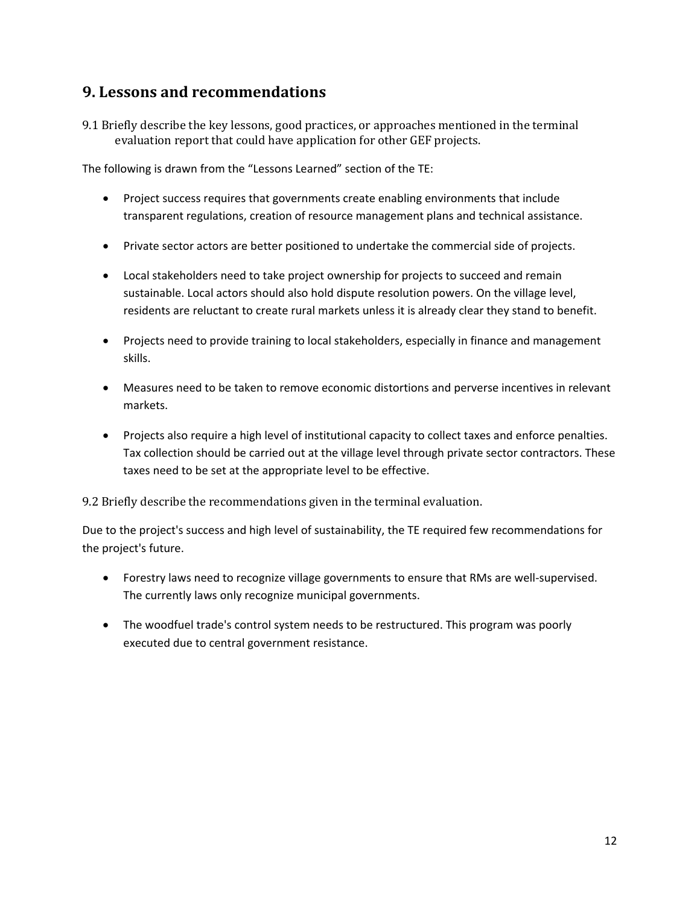## **9. Lessons and recommendations**

9.1 Briefly describe the key lessons, good practices, or approaches mentioned in the terminal evaluation report that could have application for other GEF projects.

The following is drawn from the "Lessons Learned" section of the TE:

- Project success requires that governments create enabling environments that include transparent regulations, creation of resource management plans and technical assistance.
- Private sector actors are better positioned to undertake the commercial side of projects.
- Local stakeholders need to take project ownership for projects to succeed and remain sustainable. Local actors should also hold dispute resolution powers. On the village level, residents are reluctant to create rural markets unless it is already clear they stand to benefit.
- Projects need to provide training to local stakeholders, especially in finance and management skills.
- Measures need to be taken to remove economic distortions and perverse incentives in relevant markets.
- Projects also require a high level of institutional capacity to collect taxes and enforce penalties. Tax collection should be carried out at the village level through private sector contractors. These taxes need to be set at the appropriate level to be effective.

9.2 Briefly describe the recommendations given in the terminal evaluation.

Due to the project's success and high level of sustainability, the TE required few recommendations for the project's future.

- Forestry laws need to recognize village governments to ensure that RMs are well-supervised. The currently laws only recognize municipal governments.
- The woodfuel trade's control system needs to be restructured. This program was poorly executed due to central government resistance.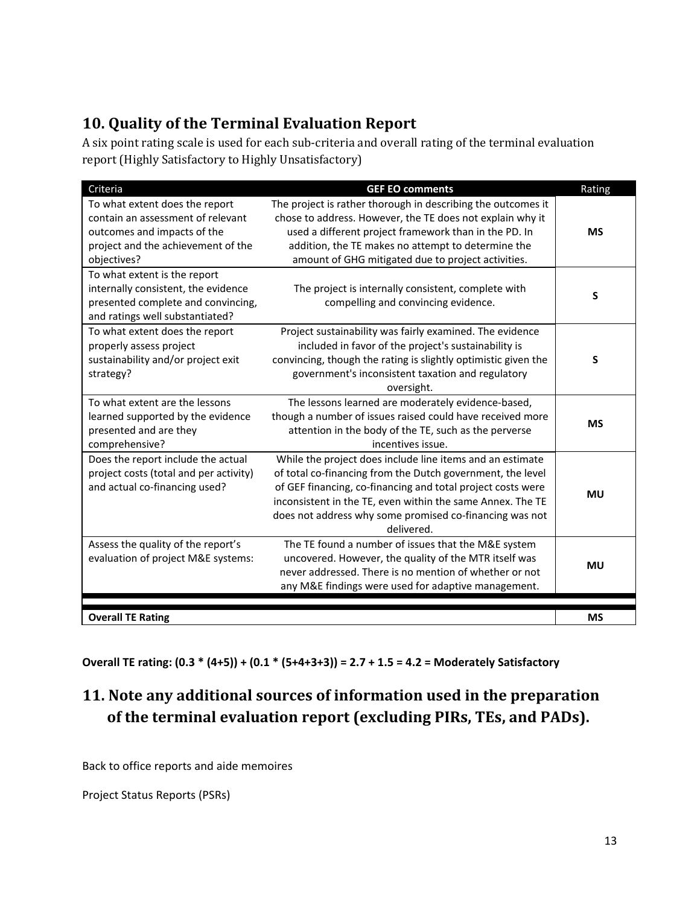# **10. Quality of the Terminal Evaluation Report**

A six point rating scale is used for each sub-criteria and overall rating of the terminal evaluation report (Highly Satisfactory to Highly Unsatisfactory)

| Criteria                                                                                                                                                | <b>GEF EO comments</b>                                                                                                                                                                                                                                                                                                        | Rating    |
|---------------------------------------------------------------------------------------------------------------------------------------------------------|-------------------------------------------------------------------------------------------------------------------------------------------------------------------------------------------------------------------------------------------------------------------------------------------------------------------------------|-----------|
| To what extent does the report<br>contain an assessment of relevant<br>outcomes and impacts of the<br>project and the achievement of the<br>objectives? | The project is rather thorough in describing the outcomes it<br>chose to address. However, the TE does not explain why it<br>used a different project framework than in the PD. In<br>addition, the TE makes no attempt to determine the<br>amount of GHG mitigated due to project activities.                                | <b>MS</b> |
| To what extent is the report<br>internally consistent, the evidence<br>presented complete and convincing,<br>and ratings well substantiated?            | The project is internally consistent, complete with<br>compelling and convincing evidence.                                                                                                                                                                                                                                    | S         |
| To what extent does the report<br>properly assess project<br>sustainability and/or project exit<br>strategy?                                            | Project sustainability was fairly examined. The evidence<br>included in favor of the project's sustainability is<br>convincing, though the rating is slightly optimistic given the<br>government's inconsistent taxation and regulatory<br>oversight.                                                                         | S         |
| To what extent are the lessons<br>learned supported by the evidence<br>presented and are they<br>comprehensive?                                         | The lessons learned are moderately evidence-based,<br>though a number of issues raised could have received more<br>attention in the body of the TE, such as the perverse<br>incentives issue.                                                                                                                                 | <b>MS</b> |
| Does the report include the actual<br>project costs (total and per activity)<br>and actual co-financing used?                                           | While the project does include line items and an estimate<br>of total co-financing from the Dutch government, the level<br>of GEF financing, co-financing and total project costs were<br>inconsistent in the TE, even within the same Annex. The TE<br>does not address why some promised co-financing was not<br>delivered. | <b>MU</b> |
| Assess the quality of the report's<br>evaluation of project M&E systems:                                                                                | The TE found a number of issues that the M&E system<br>uncovered. However, the quality of the MTR itself was<br>never addressed. There is no mention of whether or not<br>any M&E findings were used for adaptive management.                                                                                                 | <b>MU</b> |
| <b>Overall TE Rating</b>                                                                                                                                |                                                                                                                                                                                                                                                                                                                               | <b>MS</b> |

**Overall TE rating: (0.3 \* (4+5)) + (0.1 \* (5+4+3+3)) = 2.7 + 1.5 = 4.2 = Moderately Satisfactory**

# **11. Note any additional sources of information used in the preparation of the terminal evaluation report (excluding PIRs, TEs, and PADs).**

Back to office reports and aide memoires

Project Status Reports (PSRs)